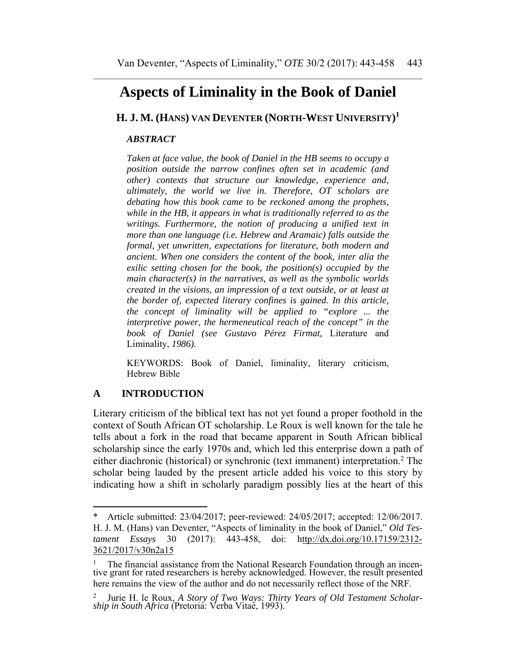# **Aspects of Liminality in the Book of Daniel**

**H. J. M. (HANS) VAN DEVENTER (NORTH-WEST UNIVERSITY) 1**

#### *ABSTRACT*

*Taken at face value, the book of Daniel in the HB seems to occupy a position outside the narrow confines often set in academic (and other) contexts that structure our knowledge, experience and, ultimately, the world we live in. Therefore, OT scholars are debating how this book came to be reckoned among the prophets, while in the HB, it appears in what is traditionally referred to as the writings. Furthermore, the notion of producing a unified text in more than one language (i.e. Hebrew and Aramaic) falls outside the formal, yet unwritten, expectations for literature, both modern and ancient. When one considers the content of the book, inter alia the exilic setting chosen for the book, the position(s) occupied by the main character(s) in the narratives, as well as the symbolic worlds created in the visions, an impression of a text outside, or at least at the border of, expected literary confines is gained. In this article, the concept of liminality will be applied to "explore ... the interpretive power, the hermeneutical reach of the concept" in the book of Daniel (see Gustavo Pérez Firmat,* Literature and Liminality, *1986).* 

KEYWORDS: Book of Daniel, liminality, literary criticism, Hebrew Bible

# **A INTRODUCTION**

Literary criticism of the biblical text has not yet found a proper foothold in the context of South African OT scholarship. Le Roux is well known for the tale he tells about a fork in the road that became apparent in South African biblical scholarship since the early 1970s and, which led this enterprise down a path of either diachronic (historical) or synchronic (text immanent) interpretation.<sup>2</sup> The scholar being lauded by the present article added his voice to this story by indicating how a shift in scholarly paradigm possibly lies at the heart of this

<sup>\*</sup> Article submitted: 23/04/2017; peer-reviewed: 24/05/2017; accepted: 12/06/2017. H. J. M. (Hans) van Deventer, "Aspects of liminality in the book of Daniel," *Old Testament Essays* 30 (2017): 443-458, doi: http://dx.doi.org/10.17159/2312- 3621/2017/v30n2a15

<sup>1</sup> The financial assistance from the National Research Foundation through an incentive grant for rated researchers is hereby acknowledged. However, the result presented here remains the view of the author and do not necessarily reflect those of the NRF.

<sup>2</sup> Jurie H. le Roux, *A Story of Two Ways: Thirty Years of Old Testament Scholarship in South Africa* (Pretoria: Verba Vitae, 1993).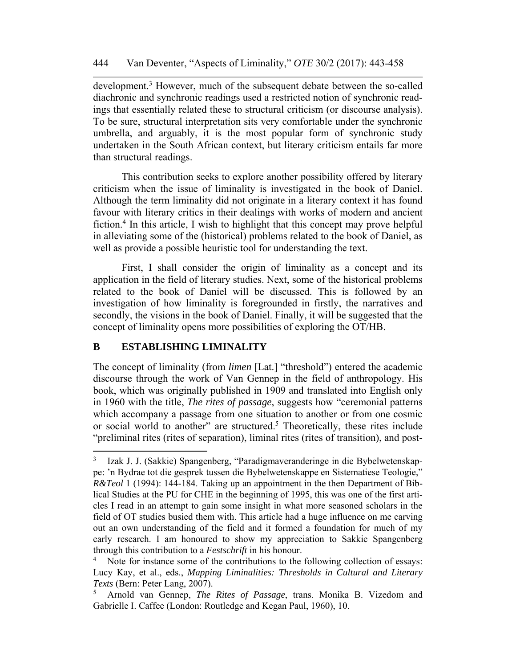development.<sup>3</sup> However, much of the subsequent debate between the so-called diachronic and synchronic readings used a restricted notion of synchronic readings that essentially related these to structural criticism (or discourse analysis). To be sure, structural interpretation sits very comfortable under the synchronic umbrella, and arguably, it is the most popular form of synchronic study undertaken in the South African context, but literary criticism entails far more than structural readings.

This contribution seeks to explore another possibility offered by literary criticism when the issue of liminality is investigated in the book of Daniel. Although the term liminality did not originate in a literary context it has found favour with literary critics in their dealings with works of modern and ancient fiction.<sup>4</sup> In this article, I wish to highlight that this concept may prove helpful in alleviating some of the (historical) problems related to the book of Daniel, as well as provide a possible heuristic tool for understanding the text.

First, I shall consider the origin of liminality as a concept and its application in the field of literary studies. Next, some of the historical problems related to the book of Daniel will be discussed. This is followed by an investigation of how liminality is foregrounded in firstly, the narratives and secondly, the visions in the book of Daniel. Finally, it will be suggested that the concept of liminality opens more possibilities of exploring the OT/HB.

#### **B ESTABLISHING LIMINALITY**

The concept of liminality (from *limen* [Lat.] "threshold") entered the academic discourse through the work of Van Gennep in the field of anthropology. His book, which was originally published in 1909 and translated into English only in 1960 with the title, *The rites of passage*, suggests how "ceremonial patterns which accompany a passage from one situation to another or from one cosmic or social world to another" are structured.<sup>5</sup> Theoretically, these rites include "preliminal rites (rites of separation), liminal rites (rites of transition), and post-

<sup>3</sup> Izak J. J. (Sakkie) Spangenberg, "Paradigmaveranderinge in die Bybelwetenskappe: 'n Bydrae tot die gesprek tussen die Bybelwetenskappe en Sistematiese Teologie," *R&Teol* 1 (1994): 144-184. Taking up an appointment in the then Department of Biblical Studies at the PU for CHE in the beginning of 1995, this was one of the first articles I read in an attempt to gain some insight in what more seasoned scholars in the field of OT studies busied them with. This article had a huge influence on me carving out an own understanding of the field and it formed a foundation for much of my early research. I am honoured to show my appreciation to Sakkie Spangenberg through this contribution to a *Festschrift* in his honour.

<sup>&</sup>lt;sup>4</sup> Note for instance some of the contributions to the following collection of essays: Lucy Kay, et al., eds., *Mapping Liminalities: Thresholds in Cultural and Literary Texts* (Bern: Peter Lang, 2007).

<sup>5</sup> Arnold van Gennep, *The Rites of Passage*, trans. Monika B. Vizedom and Gabrielle I. Caffee (London: Routledge and Kegan Paul, 1960), 10.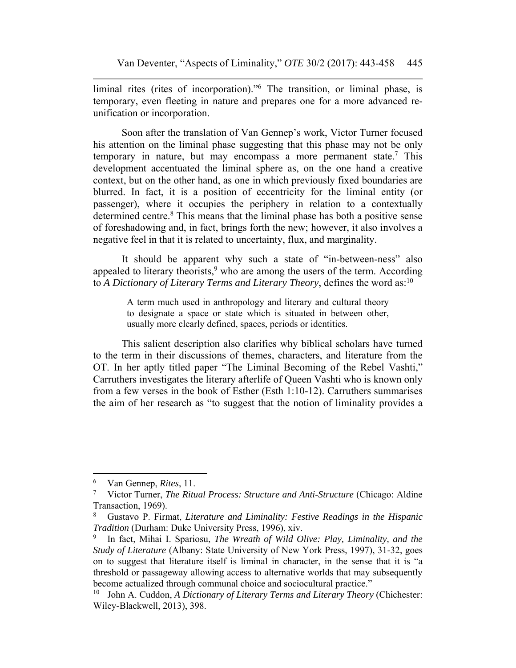liminal rites (rites of incorporation)."6 The transition, or liminal phase, is temporary, even fleeting in nature and prepares one for a more advanced reunification or incorporation.

Soon after the translation of Van Gennep's work, Victor Turner focused his attention on the liminal phase suggesting that this phase may not be only temporary in nature, but may encompass a more permanent state.<sup>7</sup> This development accentuated the liminal sphere as, on the one hand a creative context, but on the other hand, as one in which previously fixed boundaries are blurred. In fact, it is a position of eccentricity for the liminal entity (or passenger), where it occupies the periphery in relation to a contextually determined centre.<sup>8</sup> This means that the liminal phase has both a positive sense of foreshadowing and, in fact, brings forth the new; however, it also involves a negative feel in that it is related to uncertainty, flux, and marginality.

It should be apparent why such a state of "in-between-ness" also appealed to literary theorists,  $9$  who are among the users of the term. According to *A Dictionary of Literary Terms and Literary Theory*, defines the word as:10

> A term much used in anthropology and literary and cultural theory to designate a space or state which is situated in between other, usually more clearly defined, spaces, periods or identities.

This salient description also clarifies why biblical scholars have turned to the term in their discussions of themes, characters, and literature from the OT. In her aptly titled paper "The Liminal Becoming of the Rebel Vashti," Carruthers investigates the literary afterlife of Queen Vashti who is known only from a few verses in the book of Esther (Esth 1:10-12). Carruthers summarises the aim of her research as "to suggest that the notion of liminality provides a

 6 Van Gennep, *Rites*, 11.

<sup>7</sup> Victor Turner, *The Ritual Process: Structure and Anti-Structure* (Chicago: Aldine Transaction, 1969).

<sup>8</sup> Gustavo P. Firmat, *Literature and Liminality: Festive Readings in the Hispanic Tradition* (Durham: Duke University Press, 1996), xiv.

<sup>9</sup> In fact, Mihai I. Spariosu, *The Wreath of Wild Olive: Play, Liminality, and the Study of Literature* (Albany: State University of New York Press, 1997), 31-32, goes on to suggest that literature itself is liminal in character, in the sense that it is "a threshold or passageway allowing access to alternative worlds that may subsequently become actualized through communal choice and sociocultural practice."

<sup>10</sup> John A. Cuddon, *A Dictionary of Literary Terms and Literary Theory* (Chichester: Wiley-Blackwell, 2013), 398.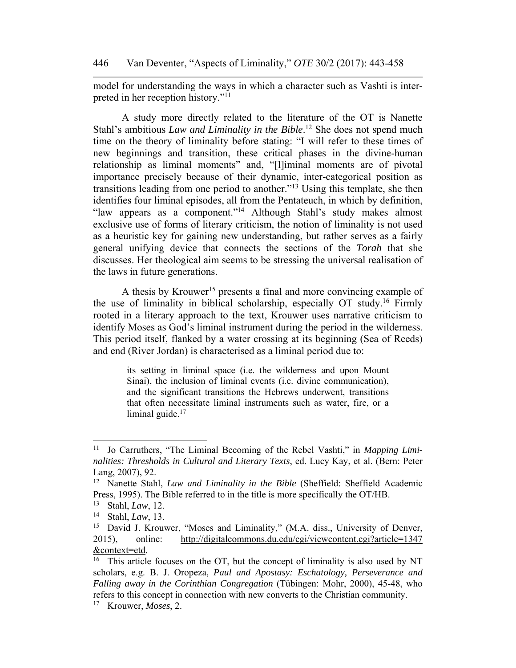model for understanding the ways in which a character such as Vashti is interpreted in her reception history."11

A study more directly related to the literature of the OT is Nanette Stahl's ambitious *Law and Liminality in the Bible*.<sup>12</sup> She does not spend much time on the theory of liminality before stating: "I will refer to these times of new beginnings and transition, these critical phases in the divine-human relationship as liminal moments" and, "[l]iminal moments are of pivotal importance precisely because of their dynamic, inter-categorical position as transitions leading from one period to another."13 Using this template, she then identifies four liminal episodes, all from the Pentateuch, in which by definition, "law appears as a component."14 Although Stahl's study makes almost exclusive use of forms of literary criticism, the notion of liminality is not used as a heuristic key for gaining new understanding, but rather serves as a fairly general unifying device that connects the sections of the *Torah* that she discusses. Her theological aim seems to be stressing the universal realisation of the laws in future generations.

A thesis by Krouwer<sup>15</sup> presents a final and more convincing example of the use of liminality in biblical scholarship, especially OT study.16 Firmly rooted in a literary approach to the text, Krouwer uses narrative criticism to identify Moses as God's liminal instrument during the period in the wilderness. This period itself, flanked by a water crossing at its beginning (Sea of Reeds) and end (River Jordan) is characterised as a liminal period due to:

> its setting in liminal space (i.e. the wilderness and upon Mount Sinai), the inclusion of liminal events (i.e. divine communication), and the significant transitions the Hebrews underwent, transitions that often necessitate liminal instruments such as water, fire, or a liminal guide. $17$

<sup>11</sup> Jo Carruthers, "The Liminal Becoming of the Rebel Vashti," in *Mapping Liminalities: Thresholds in Cultural and Literary Texts*, ed. Lucy Kay, et al. (Bern: Peter Lang, 2007), 92.

<sup>12</sup> Nanette Stahl, *Law and Liminality in the Bible* (Sheffield: Sheffield Academic Press, 1995). The Bible referred to in the title is more specifically the OT/HB.

<sup>13</sup> Stahl, *Law*, 12.

<sup>14</sup> Stahl, *Law*, 13.

<sup>&</sup>lt;sup>15</sup> David J. Krouwer, "Moses and Liminality," (M.A. diss., University of Denver, 2015), online: http://digitalcommons.du.edu/cgi/viewcontent.cgi?article=1347 &context=etd.

<sup>&</sup>lt;sup>16</sup> This article focuses on the OT, but the concept of liminality is also used by NT scholars, e.g. B. J. Oropeza, *Paul and Apostasy: Eschatology, Perseverance and Falling away in the Corinthian Congregation* (Tübingen: Mohr, 2000), 45-48, who refers to this concept in connection with new converts to the Christian community.

<sup>17</sup> Krouwer, *Moses*, 2.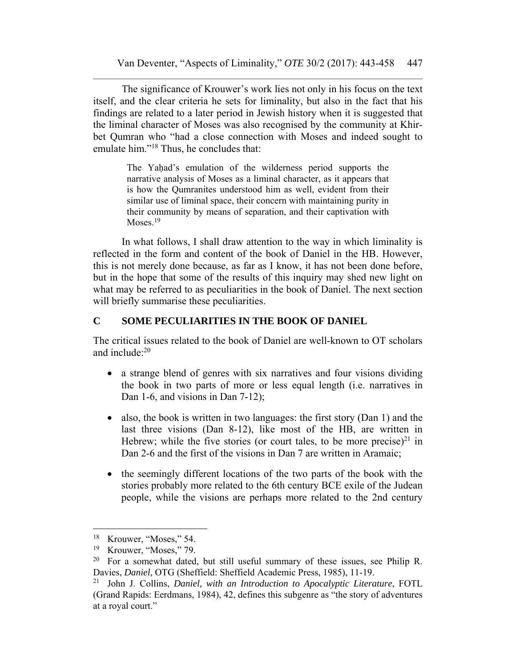The significance of Krouwer's work lies not only in his focus on the text itself, and the clear criteria he sets for liminality, but also in the fact that his findings are related to a later period in Jewish history when it is suggested that the liminal character of Moses was also recognised by the community at Khirbet Qumran who "had a close connection with Moses and indeed sought to emulate him."<sup>18</sup> Thus, he concludes that:

> The Yahad's emulation of the wilderness period supports the narrative analysis of Moses as a liminal character, as it appears that is how the Qumranites understood him as well, evident from their similar use of liminal space, their concern with maintaining purity in their community by means of separation, and their captivation with Moses.<sup>19</sup>

In what follows, I shall draw attention to the way in which liminality is reflected in the form and content of the book of Daniel in the HB. However, this is not merely done because, as far as I know, it has not been done before, but in the hope that some of the results of this inquiry may shed new light on what may be referred to as peculiarities in the book of Daniel. The next section will briefly summarise these peculiarities.

#### **C SOME PECULIARITIES IN THE BOOK OF DANIEL**

The critical issues related to the book of Daniel are well-known to OT scholars and include $<sup>20</sup>$ </sup>

- a strange blend of genres with six narratives and four visions dividing the book in two parts of more or less equal length (i.e. narratives in Dan 1-6, and visions in Dan 7-12);
- also, the book is written in two languages: the first story (Dan 1) and the last three visions (Dan 8-12), like most of the HB, are written in Hebrew; while the five stories (or court tales, to be more precise)<sup>21</sup> in Dan 2-6 and the first of the visions in Dan 7 are written in Aramaic;
- the seemingly different locations of the two parts of the book with the stories probably more related to the 6th century BCE exile of the Judean people, while the visions are perhaps more related to the 2nd century

<sup>&</sup>lt;sup>18</sup> Krouwer, "Moses," 54.

<sup>&</sup>lt;sup>19</sup> Krouwer, "Moses," 79.

<sup>&</sup>lt;sup>20</sup> For a somewhat dated, but still useful summary of these issues, see Philip R. Davies, *Daniel*, OTG (Sheffield: Sheffield Academic Press, 1985), 11-19.

<sup>21</sup> John J. Collins, *Daniel, with an Introduction to Apocalyptic Literature*, FOTL (Grand Rapids: Eerdmans, 1984), 42, defines this subgenre as "the story of adventures at a royal court."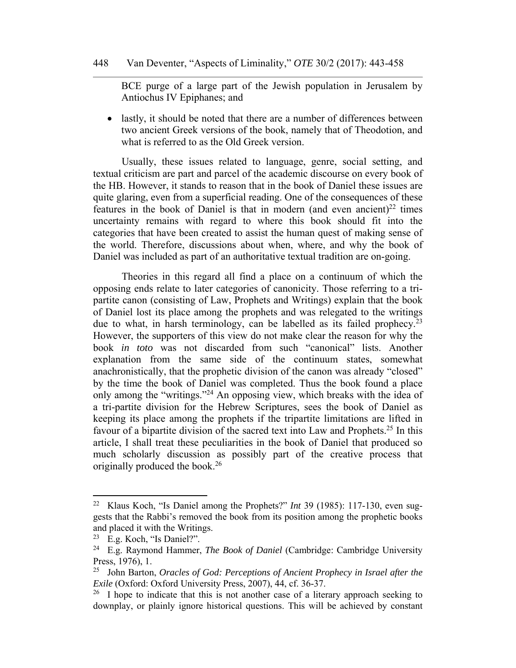BCE purge of a large part of the Jewish population in Jerusalem by Antiochus IV Epiphanes; and

 lastly, it should be noted that there are a number of differences between two ancient Greek versions of the book, namely that of Theodotion, and what is referred to as the Old Greek version.

Usually, these issues related to language, genre, social setting, and textual criticism are part and parcel of the academic discourse on every book of the HB. However, it stands to reason that in the book of Daniel these issues are quite glaring, even from a superficial reading. One of the consequences of these features in the book of Daniel is that in modern (and even ancient)<sup>22</sup> times uncertainty remains with regard to where this book should fit into the categories that have been created to assist the human quest of making sense of the world. Therefore, discussions about when, where, and why the book of Daniel was included as part of an authoritative textual tradition are on-going.

Theories in this regard all find a place on a continuum of which the opposing ends relate to later categories of canonicity. Those referring to a tripartite canon (consisting of Law, Prophets and Writings) explain that the book of Daniel lost its place among the prophets and was relegated to the writings due to what, in harsh terminology, can be labelled as its failed prophecy.<sup>23</sup> However, the supporters of this view do not make clear the reason for why the book *in toto* was not discarded from such "canonical" lists. Another explanation from the same side of the continuum states, somewhat anachronistically, that the prophetic division of the canon was already "closed" by the time the book of Daniel was completed. Thus the book found a place only among the "writings."24 An opposing view, which breaks with the idea of a tri-partite division for the Hebrew Scriptures, sees the book of Daniel as keeping its place among the prophets if the tripartite limitations are lifted in favour of a bipartite division of the sacred text into Law and Prophets.25 In this article, I shall treat these peculiarities in the book of Daniel that produced so much scholarly discussion as possibly part of the creative process that originally produced the book.26

<sup>22</sup> Klaus Koch, "Is Daniel among the Prophets?" *Int* 39 (1985): 117-130, even suggests that the Rabbi's removed the book from its position among the prophetic books and placed it with the Writings.

<sup>23</sup> E.g. Koch, "Is Daniel?".

<sup>24</sup> E.g. Raymond Hammer, *The Book of Daniel* (Cambridge: Cambridge University Press, 1976), 1.

<sup>25</sup> John Barton, *Oracles of God: Perceptions of Ancient Prophecy in Israel after the Exile* (Oxford: Oxford University Press, 2007), 44, cf. 36-37.

 $26$  I hope to indicate that this is not another case of a literary approach seeking to downplay, or plainly ignore historical questions. This will be achieved by constant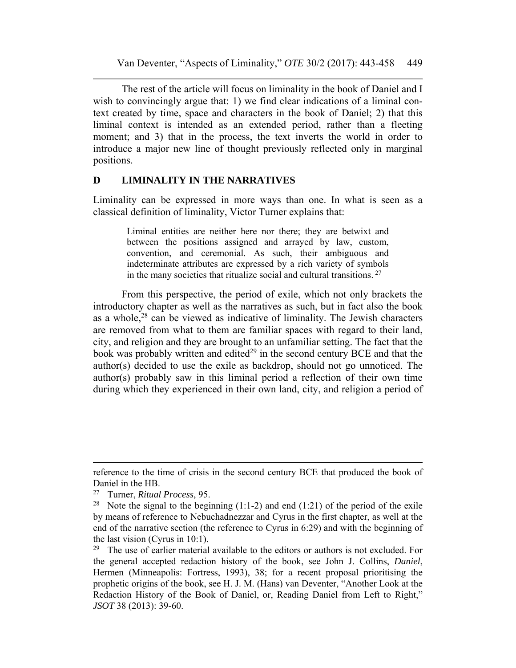The rest of the article will focus on liminality in the book of Daniel and I wish to convincingly argue that: 1) we find clear indications of a liminal context created by time, space and characters in the book of Daniel; 2) that this liminal context is intended as an extended period, rather than a fleeting moment; and 3) that in the process, the text inverts the world in order to introduce a major new line of thought previously reflected only in marginal positions.

#### **D LIMINALITY IN THE NARRATIVES**

Liminality can be expressed in more ways than one. In what is seen as a classical definition of liminality, Victor Turner explains that:

> Liminal entities are neither here nor there; they are betwixt and between the positions assigned and arrayed by law, custom, convention, and ceremonial. As such, their ambiguous and indeterminate attributes are expressed by a rich variety of symbols in the many societies that ritualize social and cultural transitions. 27

From this perspective, the period of exile, which not only brackets the introductory chapter as well as the narratives as such, but in fact also the book as a whole,28 can be viewed as indicative of liminality. The Jewish characters are removed from what to them are familiar spaces with regard to their land, city, and religion and they are brought to an unfamiliar setting. The fact that the book was probably written and edited $2<sup>9</sup>$  in the second century BCE and that the author(s) decided to use the exile as backdrop, should not go unnoticed. The author(s) probably saw in this liminal period a reflection of their own time during which they experienced in their own land, city, and religion a period of

 reference to the time of crisis in the second century BCE that produced the book of Daniel in the HB.

<sup>27</sup> Turner, *Ritual Process*, 95.

<sup>&</sup>lt;sup>28</sup> Note the signal to the beginning  $(1:1-2)$  and end  $(1:21)$  of the period of the exile by means of reference to Nebuchadnezzar and Cyrus in the first chapter, as well at the end of the narrative section (the reference to Cyrus in 6:29) and with the beginning of the last vision (Cyrus in 10:1).

<sup>&</sup>lt;sup>29</sup> The use of earlier material available to the editors or authors is not excluded. For the general accepted redaction history of the book, see John J. Collins, *Daniel*, Hermen (Minneapolis: Fortress, 1993), 38; for a recent proposal prioritising the prophetic origins of the book, see H. J. M. (Hans) van Deventer, "Another Look at the Redaction History of the Book of Daniel, or, Reading Daniel from Left to Right," *JSOT* 38 (2013): 39-60.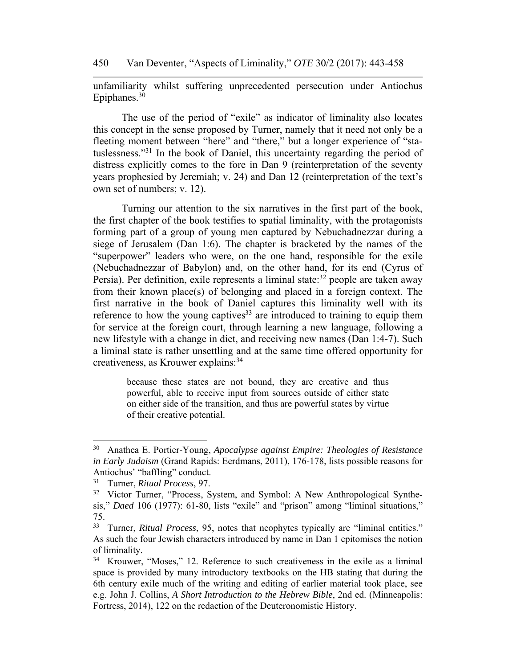450 Van Deventer, "Aspects of Liminality," *OTE* 30/2 (2017): 443-458

unfamiliarity whilst suffering unprecedented persecution under Antiochus Epiphanes.<sup>30</sup>

The use of the period of "exile" as indicator of liminality also locates this concept in the sense proposed by Turner, namely that it need not only be a fleeting moment between "here" and "there," but a longer experience of "statuslessness."31 In the book of Daniel, this uncertainty regarding the period of distress explicitly comes to the fore in Dan 9 (reinterpretation of the seventy years prophesied by Jeremiah; v. 24) and Dan 12 (reinterpretation of the text's own set of numbers; v. 12).

Turning our attention to the six narratives in the first part of the book, the first chapter of the book testifies to spatial liminality, with the protagonists forming part of a group of young men captured by Nebuchadnezzar during a siege of Jerusalem (Dan 1:6). The chapter is bracketed by the names of the "superpower" leaders who were, on the one hand, responsible for the exile (Nebuchadnezzar of Babylon) and, on the other hand, for its end (Cyrus of Persia). Per definition, exile represents a liminal state: $32$  people are taken away from their known place(s) of belonging and placed in a foreign context. The first narrative in the book of Daniel captures this liminality well with its reference to how the young captives<sup>33</sup> are introduced to training to equip them for service at the foreign court, through learning a new language, following a new lifestyle with a change in diet, and receiving new names (Dan 1:4-7). Such a liminal state is rather unsettling and at the same time offered opportunity for creativeness, as Krouwer explains: 34

> because these states are not bound, they are creative and thus powerful, able to receive input from sources outside of either state on either side of the transition, and thus are powerful states by virtue of their creative potential.

<sup>30</sup> Anathea E. Portier-Young, *Apocalypse against Empire: Theologies of Resistance in Early Judaism* (Grand Rapids: Eerdmans, 2011), 176-178, lists possible reasons for Antiochus' "baffling" conduct.

<sup>31</sup> Turner, *Ritual Process*, 97.

<sup>&</sup>lt;sup>32</sup> Victor Turner, "Process, System, and Symbol: A New Anthropological Synthesis," *Daed* 106 (1977): 61-80, lists "exile" and "prison" among "liminal situations," 75.

<sup>33</sup> Turner, *Ritual Process*, 95, notes that neophytes typically are "liminal entities." As such the four Jewish characters introduced by name in Dan 1 epitomises the notion of liminality.

<sup>34</sup> Krouwer, "Moses," 12. Reference to such creativeness in the exile as a liminal space is provided by many introductory textbooks on the HB stating that during the 6th century exile much of the writing and editing of earlier material took place, see e.g. John J. Collins, *A Short Introduction to the Hebrew Bible*, 2nd ed. (Minneapolis: Fortress, 2014), 122 on the redaction of the Deuteronomistic History.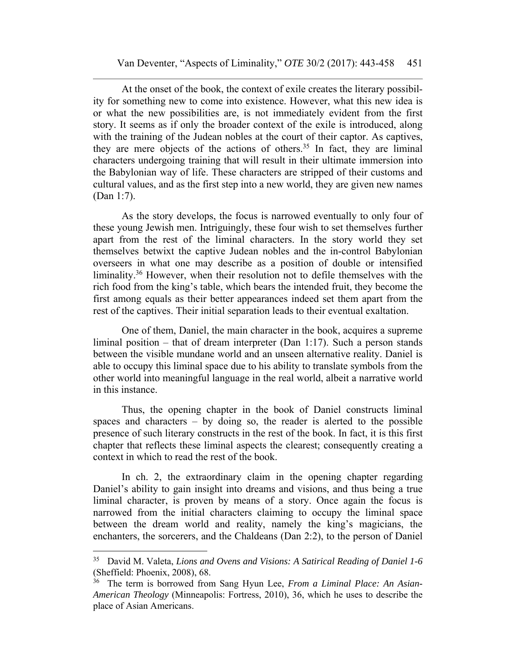At the onset of the book, the context of exile creates the literary possibility for something new to come into existence. However, what this new idea is or what the new possibilities are, is not immediately evident from the first story. It seems as if only the broader context of the exile is introduced, along with the training of the Judean nobles at the court of their captor. As captives, they are mere objects of the actions of others.<sup>35</sup> In fact, they are liminal characters undergoing training that will result in their ultimate immersion into the Babylonian way of life. These characters are stripped of their customs and cultural values, and as the first step into a new world, they are given new names (Dan 1:7).

As the story develops, the focus is narrowed eventually to only four of these young Jewish men. Intriguingly, these four wish to set themselves further apart from the rest of the liminal characters. In the story world they set themselves betwixt the captive Judean nobles and the in-control Babylonian overseers in what one may describe as a position of double or intensified liminality.36 However, when their resolution not to defile themselves with the rich food from the king's table, which bears the intended fruit, they become the first among equals as their better appearances indeed set them apart from the rest of the captives. Their initial separation leads to their eventual exaltation.

One of them, Daniel, the main character in the book, acquires a supreme liminal position – that of dream interpreter (Dan 1:17). Such a person stands between the visible mundane world and an unseen alternative reality. Daniel is able to occupy this liminal space due to his ability to translate symbols from the other world into meaningful language in the real world, albeit a narrative world in this instance.

Thus, the opening chapter in the book of Daniel constructs liminal spaces and characters – by doing so, the reader is alerted to the possible presence of such literary constructs in the rest of the book. In fact, it is this first chapter that reflects these liminal aspects the clearest; consequently creating a context in which to read the rest of the book.

In ch. 2, the extraordinary claim in the opening chapter regarding Daniel's ability to gain insight into dreams and visions, and thus being a true liminal character, is proven by means of a story. Once again the focus is narrowed from the initial characters claiming to occupy the liminal space between the dream world and reality, namely the king's magicians, the enchanters, the sorcerers, and the Chaldeans (Dan 2:2), to the person of Daniel

<sup>35</sup> David M. Valeta, *Lions and Ovens and Visions: A Satirical Reading of Daniel 1-6* (Sheffield: Phoenix, 2008), 68.

<sup>36</sup> The term is borrowed from Sang Hyun Lee, *From a Liminal Place: An Asian-American Theology* (Minneapolis: Fortress, 2010), 36, which he uses to describe the place of Asian Americans.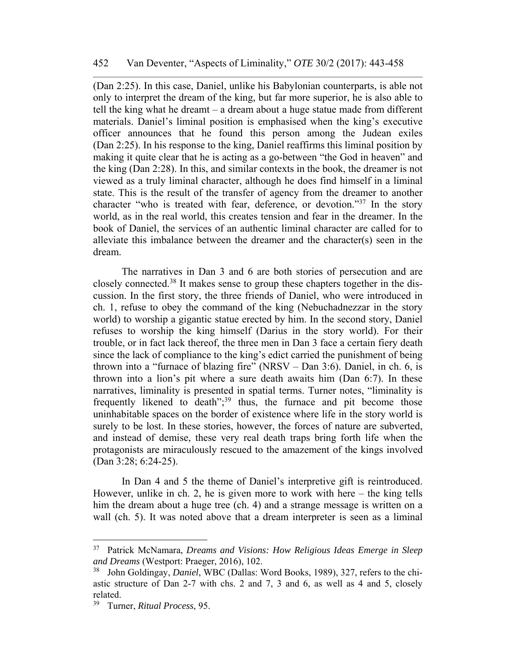(Dan 2:25). In this case, Daniel, unlike his Babylonian counterparts, is able not only to interpret the dream of the king, but far more superior, he is also able to tell the king what he dreamt – a dream about a huge statue made from different materials. Daniel's liminal position is emphasised when the king's executive officer announces that he found this person among the Judean exiles (Dan 2:25). In his response to the king, Daniel reaffirms this liminal position by making it quite clear that he is acting as a go-between "the God in heaven" and the king (Dan 2:28). In this, and similar contexts in the book, the dreamer is not viewed as a truly liminal character, although he does find himself in a liminal state. This is the result of the transfer of agency from the dreamer to another character "who is treated with fear, deference, or devotion."37 In the story world, as in the real world, this creates tension and fear in the dreamer. In the book of Daniel, the services of an authentic liminal character are called for to alleviate this imbalance between the dreamer and the character(s) seen in the dream.

The narratives in Dan 3 and 6 are both stories of persecution and are closely connected.38 It makes sense to group these chapters together in the discussion. In the first story, the three friends of Daniel, who were introduced in ch. 1, refuse to obey the command of the king (Nebuchadnezzar in the story world) to worship a gigantic statue erected by him. In the second story, Daniel refuses to worship the king himself (Darius in the story world). For their trouble, or in fact lack thereof, the three men in Dan 3 face a certain fiery death since the lack of compliance to the king's edict carried the punishment of being thrown into a "furnace of blazing fire" (NRSV – Dan 3:6). Daniel, in ch. 6, is thrown into a lion's pit where a sure death awaits him (Dan 6:7). In these narratives, liminality is presented in spatial terms. Turner notes, "liminality is frequently likened to death";<sup>39</sup> thus, the furnace and pit become those uninhabitable spaces on the border of existence where life in the story world is surely to be lost. In these stories, however, the forces of nature are subverted, and instead of demise, these very real death traps bring forth life when the protagonists are miraculously rescued to the amazement of the kings involved (Dan 3:28; 6:24-25).

In Dan 4 and 5 the theme of Daniel's interpretive gift is reintroduced. However, unlike in ch. 2, he is given more to work with here – the king tells him the dream about a huge tree (ch. 4) and a strange message is written on a wall (ch. 5). It was noted above that a dream interpreter is seen as a liminal

<sup>37</sup> Patrick McNamara, *Dreams and Visions: How Religious Ideas Emerge in Sleep and Dreams* (Westport: Praeger, 2016), 102.

<sup>38</sup> John Goldingay, *Daniel*, WBC (Dallas: Word Books, 1989), 327, refers to the chiastic structure of Dan 2-7 with chs. 2 and 7, 3 and 6, as well as 4 and 5, closely related.

<sup>39</sup> Turner, *Ritual Process*, 95.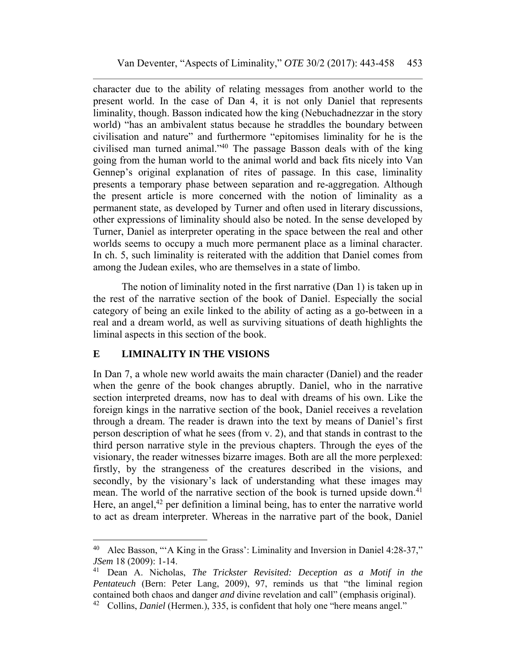character due to the ability of relating messages from another world to the present world. In the case of Dan 4, it is not only Daniel that represents liminality, though. Basson indicated how the king (Nebuchadnezzar in the story world) "has an ambivalent status because he straddles the boundary between civilisation and nature" and furthermore "epitomises liminality for he is the civilised man turned animal."40 The passage Basson deals with of the king going from the human world to the animal world and back fits nicely into Van Gennep's original explanation of rites of passage. In this case, liminality presents a temporary phase between separation and re-aggregation. Although the present article is more concerned with the notion of liminality as a permanent state, as developed by Turner and often used in literary discussions, other expressions of liminality should also be noted. In the sense developed by Turner, Daniel as interpreter operating in the space between the real and other worlds seems to occupy a much more permanent place as a liminal character. In ch. 5, such liminality is reiterated with the addition that Daniel comes from among the Judean exiles, who are themselves in a state of limbo.

The notion of liminality noted in the first narrative (Dan 1) is taken up in the rest of the narrative section of the book of Daniel. Especially the social category of being an exile linked to the ability of acting as a go-between in a real and a dream world, as well as surviving situations of death highlights the liminal aspects in this section of the book.

## **E LIMINALITY IN THE VISIONS**

In Dan 7, a whole new world awaits the main character (Daniel) and the reader when the genre of the book changes abruptly. Daniel, who in the narrative section interpreted dreams, now has to deal with dreams of his own. Like the foreign kings in the narrative section of the book, Daniel receives a revelation through a dream. The reader is drawn into the text by means of Daniel's first person description of what he sees (from v. 2), and that stands in contrast to the third person narrative style in the previous chapters. Through the eyes of the visionary, the reader witnesses bizarre images. Both are all the more perplexed: firstly, by the strangeness of the creatures described in the visions, and secondly, by the visionary's lack of understanding what these images may mean. The world of the narrative section of the book is turned upside down.<sup>41</sup> Here, an angel, $42$  per definition a liminal being, has to enter the narrative world to act as dream interpreter. Whereas in the narrative part of the book, Daniel

<sup>40</sup> Alec Basson, "'A King in the Grass': Liminality and Inversion in Daniel 4:28-37," *JSem* 18 (2009): 1-14.

<sup>41</sup> Dean A. Nicholas, *The Trickster Revisited: Deception as a Motif in the Pentateuch* (Bern: Peter Lang, 2009), 97, reminds us that "the liminal region contained both chaos and danger *and* divine revelation and call" (emphasis original).

<sup>42</sup> Collins, *Daniel* (Hermen.), 335, is confident that holy one "here means angel."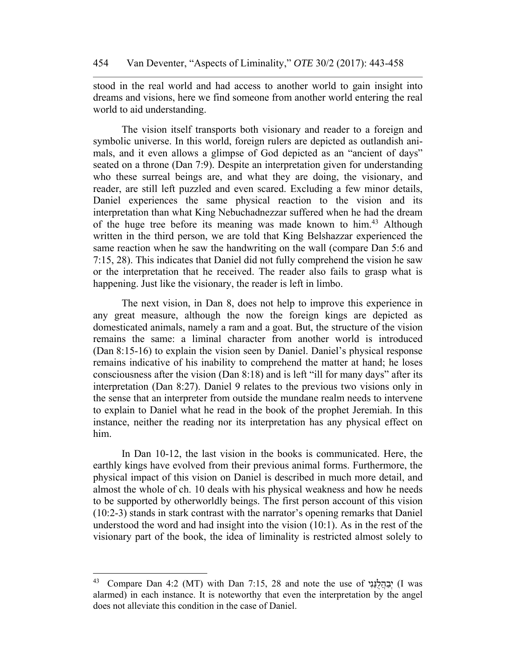stood in the real world and had access to another world to gain insight into dreams and visions, here we find someone from another world entering the real world to aid understanding.

The vision itself transports both visionary and reader to a foreign and symbolic universe. In this world, foreign rulers are depicted as outlandish animals, and it even allows a glimpse of God depicted as an "ancient of days" seated on a throne (Dan 7:9). Despite an interpretation given for understanding who these surreal beings are, and what they are doing, the visionary, and reader, are still left puzzled and even scared. Excluding a few minor details, Daniel experiences the same physical reaction to the vision and its interpretation than what King Nebuchadnezzar suffered when he had the dream of the huge tree before its meaning was made known to him.<sup>43</sup> Although written in the third person, we are told that King Belshazzar experienced the same reaction when he saw the handwriting on the wall (compare Dan 5:6 and 7:15, 28). This indicates that Daniel did not fully comprehend the vision he saw or the interpretation that he received. The reader also fails to grasp what is happening. Just like the visionary, the reader is left in limbo.

The next vision, in Dan 8, does not help to improve this experience in any great measure, although the now the foreign kings are depicted as domesticated animals, namely a ram and a goat. But, the structure of the vision remains the same: a liminal character from another world is introduced (Dan 8:15-16) to explain the vision seen by Daniel. Daniel's physical response remains indicative of his inability to comprehend the matter at hand; he loses consciousness after the vision (Dan 8:18) and is left "ill for many days" after its interpretation (Dan 8:27). Daniel 9 relates to the previous two visions only in the sense that an interpreter from outside the mundane realm needs to intervene to explain to Daniel what he read in the book of the prophet Jeremiah. In this instance, neither the reading nor its interpretation has any physical effect on him.

In Dan 10-12, the last vision in the books is communicated. Here, the earthly kings have evolved from their previous animal forms. Furthermore, the physical impact of this vision on Daniel is described in much more detail, and almost the whole of ch. 10 deals with his physical weakness and how he needs to be supported by otherworldly beings. The first person account of this vision (10:2-3) stands in stark contrast with the narrator's opening remarks that Daniel understood the word and had insight into the vision (10:1). As in the rest of the visionary part of the book, the idea of liminality is restricted almost solely to

<sup>43</sup> Compare Dan 4:2 (MT) with Dan 7:15, 28 and note the use of ניִנַּלֻהֲבַיְ) I was alarmed) in each instance. It is noteworthy that even the interpretation by the angel does not alleviate this condition in the case of Daniel.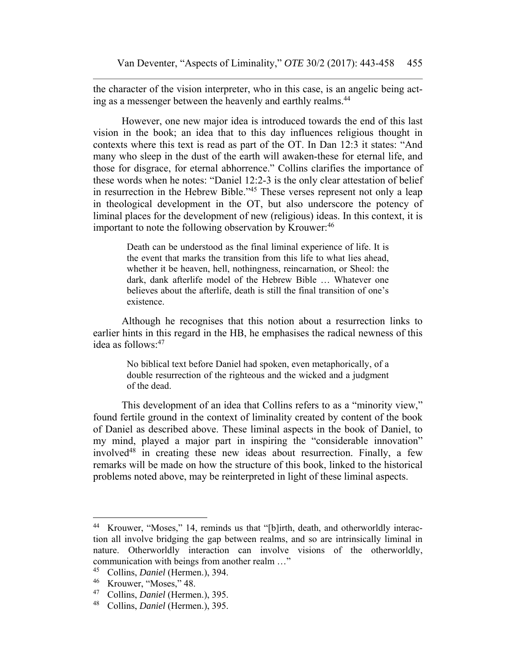the character of the vision interpreter, who in this case, is an angelic being acting as a messenger between the heavenly and earthly realms.<sup>44</sup>

However, one new major idea is introduced towards the end of this last vision in the book; an idea that to this day influences religious thought in contexts where this text is read as part of the OT. In Dan 12:3 it states: "And many who sleep in the dust of the earth will awaken-these for eternal life, and those for disgrace, for eternal abhorrence." Collins clarifies the importance of these words when he notes: "Daniel 12:2-3 is the only clear attestation of belief in resurrection in the Hebrew Bible."45 These verses represent not only a leap in theological development in the OT, but also underscore the potency of liminal places for the development of new (religious) ideas. In this context, it is important to note the following observation by Krouwer:<sup>46</sup>

> Death can be understood as the final liminal experience of life. It is the event that marks the transition from this life to what lies ahead, whether it be heaven, hell, nothingness, reincarnation, or Sheol: the dark, dank afterlife model of the Hebrew Bible … Whatever one believes about the afterlife, death is still the final transition of one's existence.

Although he recognises that this notion about a resurrection links to earlier hints in this regard in the HB, he emphasises the radical newness of this idea as follows: 47

> No biblical text before Daniel had spoken, even metaphorically, of a double resurrection of the righteous and the wicked and a judgment of the dead.

This development of an idea that Collins refers to as a "minority view," found fertile ground in the context of liminality created by content of the book of Daniel as described above. These liminal aspects in the book of Daniel, to my mind, played a major part in inspiring the "considerable innovation" involved<sup>48</sup> in creating these new ideas about resurrection. Finally, a few remarks will be made on how the structure of this book, linked to the historical problems noted above, may be reinterpreted in light of these liminal aspects.

<sup>44</sup> Krouwer, "Moses," 14, reminds us that "[b]irth, death, and otherworldly interaction all involve bridging the gap between realms, and so are intrinsically liminal in nature. Otherworldly interaction can involve visions of the otherworldly, communication with beings from another realm …"

<sup>45</sup> Collins, *Daniel* (Hermen.), 394.

 $^{46}$  Krouwer, "Moses," 48.<br> $^{47}$  Collins Daniel (Herme)

<sup>47</sup> Collins, *Daniel* (Hermen.), 395.

<sup>48</sup> Collins, *Daniel* (Hermen.), 395.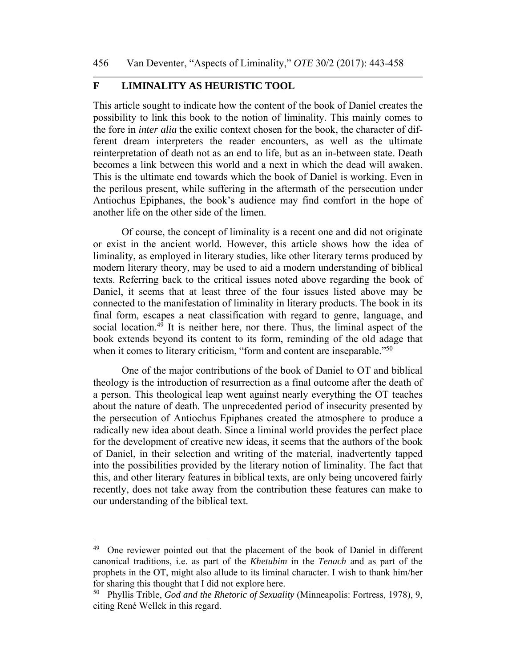## **F LIMINALITY AS HEURISTIC TOOL**

This article sought to indicate how the content of the book of Daniel creates the possibility to link this book to the notion of liminality. This mainly comes to the fore in *inter alia* the exilic context chosen for the book, the character of different dream interpreters the reader encounters, as well as the ultimate reinterpretation of death not as an end to life, but as an in-between state. Death becomes a link between this world and a next in which the dead will awaken. This is the ultimate end towards which the book of Daniel is working. Even in the perilous present, while suffering in the aftermath of the persecution under Antiochus Epiphanes, the book's audience may find comfort in the hope of another life on the other side of the limen.

Of course, the concept of liminality is a recent one and did not originate or exist in the ancient world. However, this article shows how the idea of liminality, as employed in literary studies, like other literary terms produced by modern literary theory, may be used to aid a modern understanding of biblical texts. Referring back to the critical issues noted above regarding the book of Daniel, it seems that at least three of the four issues listed above may be connected to the manifestation of liminality in literary products. The book in its final form, escapes a neat classification with regard to genre, language, and social location.<sup>49</sup> It is neither here, nor there. Thus, the liminal aspect of the book extends beyond its content to its form, reminding of the old adage that when it comes to literary criticism, "form and content are inseparable."<sup>50</sup>

One of the major contributions of the book of Daniel to OT and biblical theology is the introduction of resurrection as a final outcome after the death of a person. This theological leap went against nearly everything the OT teaches about the nature of death. The unprecedented period of insecurity presented by the persecution of Antiochus Epiphanes created the atmosphere to produce a radically new idea about death. Since a liminal world provides the perfect place for the development of creative new ideas, it seems that the authors of the book of Daniel, in their selection and writing of the material, inadvertently tapped into the possibilities provided by the literary notion of liminality. The fact that this, and other literary features in biblical texts, are only being uncovered fairly recently, does not take away from the contribution these features can make to our understanding of the biblical text.

<sup>&</sup>lt;sup>49</sup> One reviewer pointed out that the placement of the book of Daniel in different canonical traditions, i.e. as part of the *Khetubim* in the *Tenach* and as part of the prophets in the OT, might also allude to its liminal character. I wish to thank him/her for sharing this thought that I did not explore here.

<sup>50</sup> Phyllis Trible, *God and the Rhetoric of Sexuality* (Minneapolis: Fortress, 1978), 9, citing René Wellek in this regard.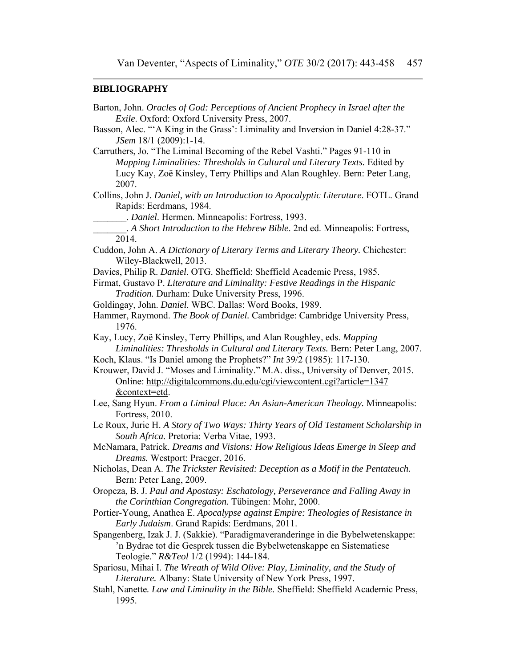## **BIBLIOGRAPHY**

| Barton, John. Oracles of God: Perceptions of Ancient Prophecy in Israel after the<br>Exile. Oxford: Oxford University Press, 2007.                                                                                                               |
|--------------------------------------------------------------------------------------------------------------------------------------------------------------------------------------------------------------------------------------------------|
| Basson, Alec. "A King in the Grass': Liminality and Inversion in Daniel 4:28-37."<br>JSem 18/1 (2009):1-14.                                                                                                                                      |
| Carruthers, Jo. "The Liminal Becoming of the Rebel Vashti." Pages 91-110 in<br>Mapping Liminalities: Thresholds in Cultural and Literary Texts. Edited by<br>Lucy Kay, Zoë Kinsley, Terry Phillips and Alan Roughley. Bern: Peter Lang,<br>2007. |
| Collins, John J. Daniel, with an Introduction to Apocalyptic Literature. FOTL. Grand<br>Rapids: Eerdmans, 1984.                                                                                                                                  |
| Daniel. Hermen. Minneapolis: Fortress, 1993.                                                                                                                                                                                                     |
| . A Short Introduction to the Hebrew Bible. 2nd ed. Minneapolis: Fortress,<br>2014.                                                                                                                                                              |
| Cuddon, John A. A Dictionary of Literary Terms and Literary Theory. Chichester:<br>Wiley-Blackwell, 2013.                                                                                                                                        |
| Davies, Philip R. Daniel. OTG. Sheffield: Sheffield Academic Press, 1985.                                                                                                                                                                        |
| Firmat, Gustavo P. Literature and Liminality: Festive Readings in the Hispanic                                                                                                                                                                   |
| Tradition. Durham: Duke University Press, 1996.                                                                                                                                                                                                  |
| Goldingay, John. Daniel. WBC. Dallas: Word Books, 1989.                                                                                                                                                                                          |
| Hammer, Raymond. The Book of Daniel. Cambridge: Cambridge University Press,<br>1976.                                                                                                                                                             |
| Kay, Lucy, Zoë Kinsley, Terry Phillips, and Alan Roughley, eds. Mapping                                                                                                                                                                          |
| Liminalities: Thresholds in Cultural and Literary Texts. Bern: Peter Lang, 2007.<br>Koch, Klaus. "Is Daniel among the Prophets?" Int 39/2 (1985): 117-130.                                                                                       |
| Krouwer, David J. "Moses and Liminality." M.A. diss., University of Denver, 2015.<br>Online: http://digitalcommons.du.edu/cgi/viewcontent.cgi?article=1347                                                                                       |
| &context=etd.<br>Lee, Sang Hyun. From a Liminal Place: An Asian-American Theology. Minneapolis:<br>Fortress, 2010.                                                                                                                               |
| Le Roux, Jurie H. A Story of Two Ways: Thirty Years of Old Testament Scholarship in<br>South Africa. Pretoria: Verba Vitae, 1993.                                                                                                                |
| McNamara, Patrick. Dreams and Visions: How Religious Ideas Emerge in Sleep and<br>Dreams. Westport: Praeger, 2016.                                                                                                                               |
| Nicholas, Dean A. The Trickster Revisited: Deception as a Motif in the Pentateuch.<br>Bern: Peter Lang, 2009.                                                                                                                                    |
| Oropeza, B. J. Paul and Apostasy: Eschatology, Perseverance and Falling Away in<br>the Corinthian Congregation. Tübingen: Mohr, 2000.                                                                                                            |
| Portier-Young, Anathea E. Apocalypse against Empire: Theologies of Resistance in<br>Early Judaism. Grand Rapids: Eerdmans, 2011.                                                                                                                 |
| Spangenberg, Izak J. J. (Sakkie). "Paradigmaveranderinge in die Bybelwetenskappe:<br>'n Bydrae tot die Gesprek tussen die Bybelwetenskappe en Sistematiese<br>Teologie." R&Teol 1/2 (1994): 144-184.                                             |
| Spariosu, Mihai I. The Wreath of Wild Olive: Play, Liminality, and the Study of<br>Literature. Albany: State University of New York Press, 1997.                                                                                                 |
| Stahl, Nanette. Law and Liminality in the Bible. Sheffield: Sheffield Academic Press,<br>1995.                                                                                                                                                   |
|                                                                                                                                                                                                                                                  |